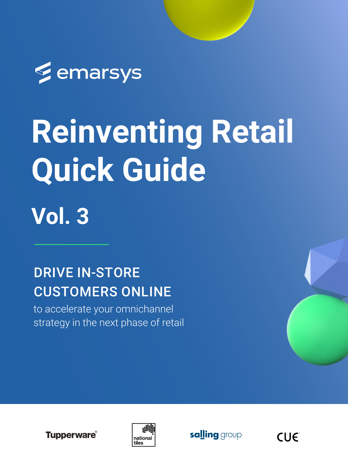

# **Reinventing Retail Quick Guide**



to accelerate your omnichannel strategy in the next phase of retail









#### DRIVE IN-STORE CUSTOMERS ONLINE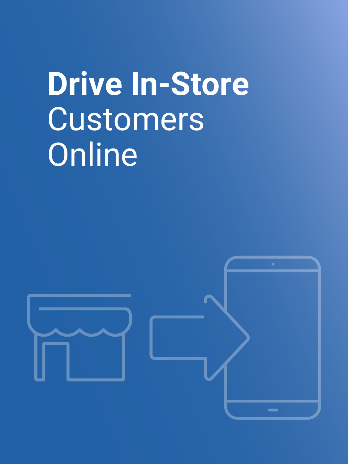## **Drive In-Store**  Customers Online

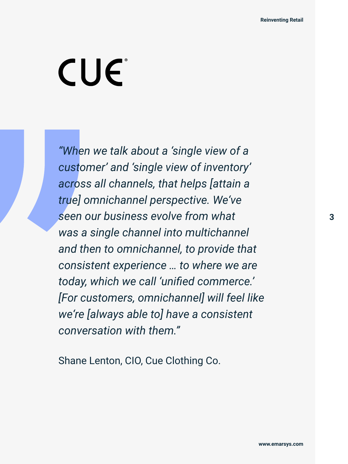

### CUE

*"When we talk about a 'single view of a customer' and 'single view of inventory' across all channels, that helps [attain a true] omnichannel perspective. We've seen our business evolve from what was a single channel into multichannel and then to omnichannel, to provide that consistent experience … to where we are today, which we call 'unified commerce.' [For customers, omnichannel] will feel like we're [always able to] have a consistent conversation with them."* 

Shane Lenton, CIO, Cue Clothing Co.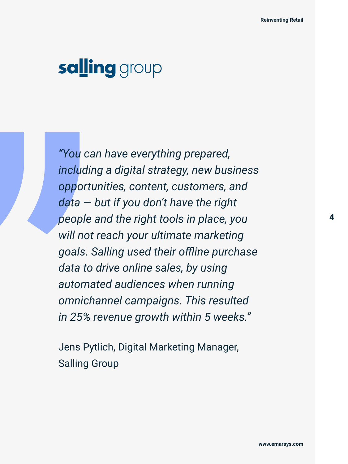



*"You can have everything prepared, including a digital strategy, new business opportunities, content, customers, and data — but if you don't have the right people and the right tools in place, you will not reach your ultimate marketing goals. Salling used their offline purchase data to drive online sales, by using automated audiences when running omnichannel campaigns. This resulted in 25% revenue growth within 5 weeks."* 

Jens Pytlich, Digital Marketing Manager, Salling Group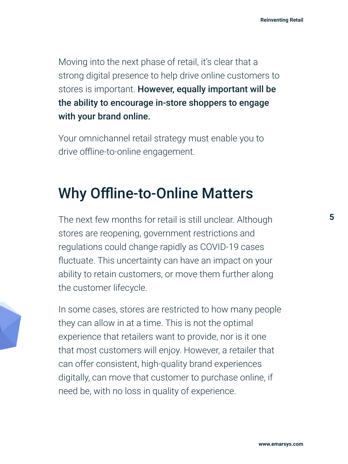

Moving into the next phase of retail, it's clear that a strong digital presence to help drive online customers to stores is important. However, equally important will be the ability to encourage in-store shoppers to engage with your brand online.

Your omnichannel retail strategy must enable you to drive offline-to-online engagement.

#### Why Offline-to-Online Matters

The next few months for retail is still unclear. Although stores are reopening, government restrictions and regulations could change rapidly as COVID-19 cases fluctuate. This uncertainty can have an impact on your ability to retain customers, or move them further along the customer lifecycle.

In some cases, stores are restricted to how many people they can allow in at a time. This is not the optimal experience that retailers want to provide, nor is it one that most customers will enjoy. However, a retailer that can offer consistent, high-quality brand experiences digitally, can move that customer to purchase online, if need be, with no loss in quality of experience.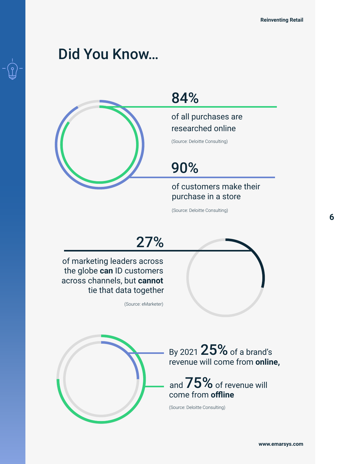







By 2021 25% of a brand's revenue will come from **online,** 



of marketing leaders across the globe **can** ID customers across channels, but **cannot** tie that data together

(Source: eMarketer)



(Source: Deloitte Consulting)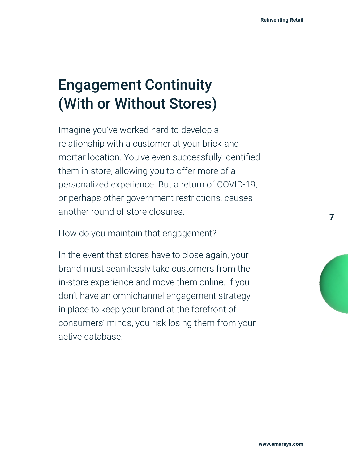

 **7**

**Reinventing Retail**

### Engagement Continuity (With or Without Stores)

Imagine you've worked hard to develop a relationship with a customer at your brick-andmortar location. You've even successfully identified them in-store, allowing you to offer more of a personalized experience. But a return of COVID-19, or perhaps other government restrictions, causes

another round of store closures.

How do you maintain that engagement?

In the event that stores have to close again, your brand must seamlessly take customers from the in-store experience and move them online. If you don't have an omnichannel engagement strategy in place to keep your brand at the forefront of consumers' minds, you risk losing them from your active database.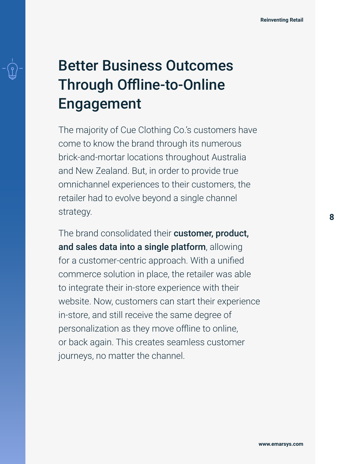

### Better Business Outcomes Through Offline-to-Online Engagement

The majority of Cue Clothing Co.'s customers have come to know the brand through its numerous brick-and-mortar locations throughout Australia and New Zealand. But, in order to provide true omnichannel experiences to their customers, the retailer had to evolve beyond a single channel

strategy.

The brand consolidated their customer, product, and sales data into a single platform, allowing for a customer-centric approach. With a unified commerce solution in place, the retailer was able to integrate their in-store experience with their website. Now, customers can start their experience in-store, and still receive the same degree of personalization as they move offline to online, or back again. This creates seamless customer journeys, no matter the channel.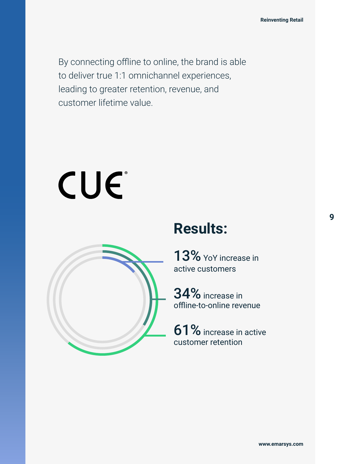

By connecting offline to online, the brand is able to deliver true 1:1 omnichannel experiences, leading to greater retention, revenue, and customer lifetime value.



#### **Results:**



13% YoY increase in active customers

34% increase in offline-to-online revenue

61% increase in active customer retention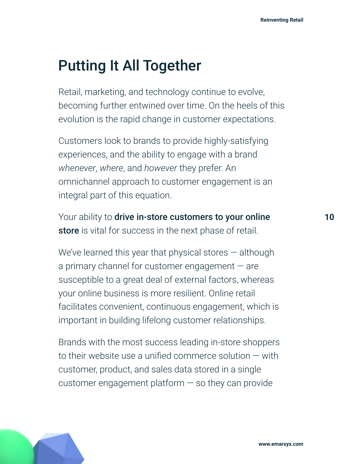#### **[www.emarsys.com](https://emarsys.com/)**



**Reinventing Retail**

#### Putting It All Together

Retail, marketing, and technology continue to evolve, becoming further entwined over time. On the heels of this evolution is the rapid change in customer expectations.

Customers look to brands to provide highly-satisfying experiences, and the ability to engage with a brand *whenever*, *where*, and *however* they prefer. An omnichannel approach to customer engagement is an integral part of this equation.

Your ability to drive in-store customers to your online store is vital for success in the next phase of retail.

We've learned this year that physical stores — although a primary channel for customer engagement — are susceptible to a great deal of external factors, whereas your online business is more resilient. Online retail facilitates convenient, continuous engagement, which is important in building lifelong customer relationships.

Brands with the most success leading in-store shoppers to their website use a unified commerce solution — with customer, product, and sales data stored in a single customer engagement platform — so they can provide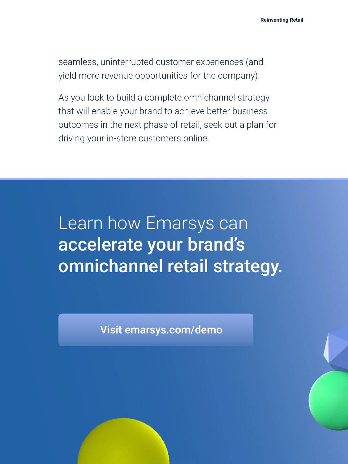Learn how Emarsys can accelerate your brand's omnichannel retail strategy.

Visi[t emarsys.com/demo](https://emarsys.com/demo/) 



seamless, uninterrupted customer experiences (and yield more revenue opportunities for the company).

As you look to build a complete omnichannel strategy that will enable your brand to achieve better business outcomes in the next phase of retail, seek out a plan for driving your in-store customers online.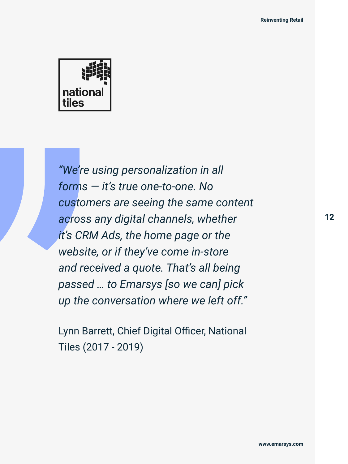



*"We're using personalization in all forms — it's true one-to-one. No customers are seeing the same content across any digital channels, whether it's CRM Ads, the home page or the website, or if they've come in-store and received a quote. That's all being passed … to Emarsys [so we can] pick up the conversation where we left off."* 

Lynn Barrett, Chief Digital Officer, National Tiles (2017 - 2019)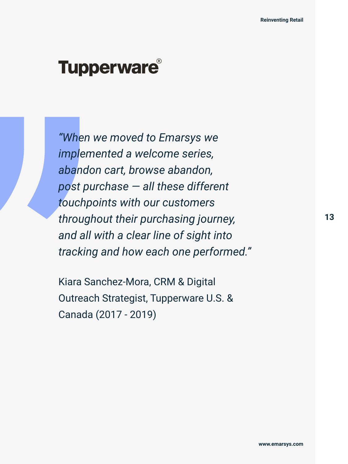

### Tupperware®

*"When we moved to Emarsys we implemented a welcome series, abandon cart, browse abandon, post purchase — all these different touchpoints with our customers throughout their purchasing journey, and all with a clear line of sight into tracking and how each one performed."* 

Kiara Sanchez-Mora, CRM & Digital Outreach Strategist, Tupperware U.S. & Canada (2017 - 2019)